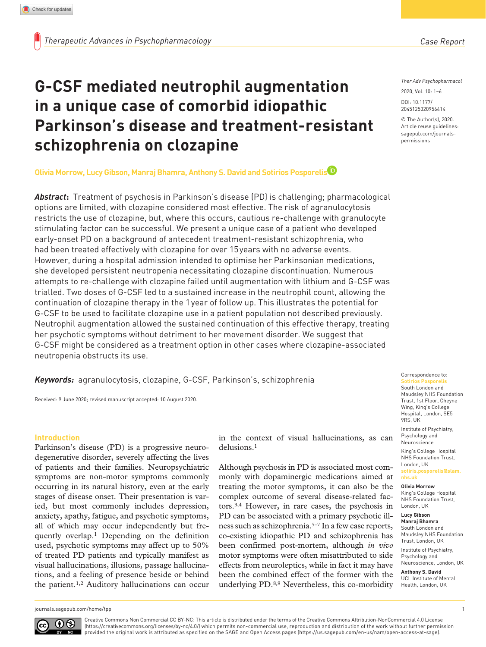# **G-CSF mediated neutrophil augmentation in a unique case of comorbid idiopathic Parkinson's disease and treatment-resistant schizophrenia on clozapine**

# **Olivia Morrow, Lucy Gibson, Manraj Bhamra, Anthony S. David and Sotirios Posporelis**

*Abstract***:** Treatment of psychosis in Parkinson's disease (PD) is challenging; pharmacological options are limited, with clozapine considered most effective. The risk of agranulocytosis restricts the use of clozapine, but, where this occurs, cautious re-challenge with granulocyte stimulating factor can be successful. We present a unique case of a patient who developed early-onset PD on a background of antecedent treatment-resistant schizophrenia, who had been treated effectively with clozapine for over 15years with no adverse events. However, during a hospital admission intended to optimise her Parkinsonian medications, she developed persistent neutropenia necessitating clozapine discontinuation. Numerous attempts to re-challenge with clozapine failed until augmentation with lithium and G-CSF was trialled. Two doses of G-CSF led to a sustained increase in the neutrophil count, allowing the continuation of clozapine therapy in the 1year of follow up. This illustrates the potential for G-CSF to be used to facilitate clozapine use in a patient population not described previously. Neutrophil augmentation allowed the sustained continuation of this effective therapy, treating her psychotic symptoms without detriment to her movement disorder. We suggest that G-CSF might be considered as a treatment option in other cases where clozapine-associated neutropenia obstructs its use.

*Keywords:* agranulocytosis, clozapine, G-CSF, Parkinson's, schizophrenia

Received: 9 June 2020; revised manuscript accepted: 10 August 2020.

#### **Introduction**

Parkinson's disease (PD) is a progressive neurodegenerative disorder, severely affecting the lives of patients and their families. Neuropsychiatric symptoms are non-motor symptoms commonly occurring in its natural history, even at the early stages of disease onset. Their presentation is varied, but most commonly includes depression, anxiety, apathy, fatigue, and psychotic symptoms, all of which may occur independently but frequently overlap.1 Depending on the definition used, psychotic symptoms may affect up to 50% of treated PD patients and typically manifest as visual hallucinations, illusions, passage hallucinations, and a feeling of presence beside or behind the patient.1,2 Auditory hallucinations can occur

in the context of visual hallucinations, as can delusions.1

Although psychosis in PD is associated most commonly with dopaminergic medications aimed at treating the motor symptoms, it can also be the complex outcome of several disease-related factors.3,4 However, in rare cases, the psychosis in PD can be associated with a primary psychotic illness such as schizophrenia.5–7 In a few case reports, co-existing idiopathic PD and schizophrenia has been confirmed post-mortem, although *in vivo* motor symptoms were often misattributed to side effects from neuroleptics, while in fact it may have been the combined effect of the former with the underlying PD.8,9 Nevertheless, this co-morbidity *Ther Adv Psychopharmacol*

DOI: 10.1177/ https://doi.org/10.1177/2045125320956414 2045125320956414 2020, Vol. 10: 1–6

© The Author(s), 2020. Article reuse guidelines: [sagepub.com/journals](https://uk.sagepub.com/en-gb/journals-permissions)[permissions](https://uk.sagepub.com/en-gb/journals-permissions)

Correspondence to: **Sotirios Posporelis** South London and Maudsley NHS Foundation Trust, 1st Floor, Cheyne Wing, King's College Hospital, London, SE5 9RS, UK

Institute of Psychiatry, Psychology and Neuroscience

King's College Hospital NHS Foundation Trust, London, UK **[sotiris.posporelis@slam.](mailto:sotiris.posporelis@slam.nhs.uk)**

**[nhs.uk](mailto:sotiris.posporelis@slam.nhs.uk)**

**Olivia Morrow** King's College Hospital NHS Foundation Trust, London, UK

**Lucy Gibson**

**Manraj Bhamra** South London and Maudsley NHS Foundation Trust, London, UK Institute of Psychiatry, Psychology and

Neuroscience, London, UK **Anthony S. David** UCL Institute of Mental Health, London, UK

[journals.sagepub.com/home/tpp](https://journals.sagepub.com/home/tpp) 1



Creative Commons Non Commercial CC BY-NC: This article is distributed under the terms of the Creative Commons Attribution-NonCommercial 4.0 License (https://creativecommons.org/licenses/by-nc/4.0/) which permits non-commercial use, reproduction and distribution of the work without further permission provided the original work is attributed as specified on the SAGE and Open Access pages (https://us.sagepub.com/en-us/nam/open-access-at-sage).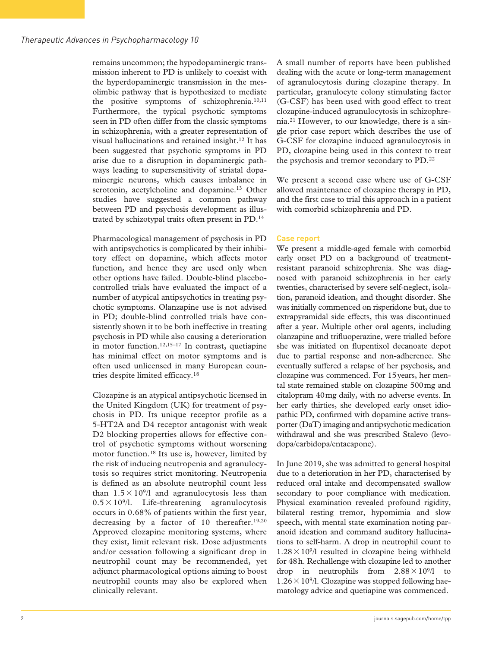remains uncommon; the hypodopaminergic transmission inherent to PD is unlikely to coexist with the hyperdopaminergic transmission in the mesolimbic pathway that is hypothesized to mediate the positive symptoms of schizophrenia.10,11 Furthermore, the typical psychotic symptoms seen in PD often differ from the classic symptoms in schizophrenia, with a greater representation of visual hallucinations and retained insight.12 It has been suggested that psychotic symptoms in PD arise due to a disruption in dopaminergic pathways leading to supersensitivity of striatal dopaminergic neurons, which causes imbalance in serotonin, acetylcholine and dopamine.<sup>13</sup> Other studies have suggested a common pathway between PD and psychosis development as illustrated by schizotypal traits often present in PD.14

Pharmacological management of psychosis in PD with antipsychotics is complicated by their inhibitory effect on dopamine, which affects motor function, and hence they are used only when other options have failed. Double-blind placebocontrolled trials have evaluated the impact of a number of atypical antipsychotics in treating psychotic symptoms. Olanzapine use is not advised in PD; double-blind controlled trials have consistently shown it to be both ineffective in treating psychosis in PD while also causing a deterioration in motor function.<sup>12,15–17</sup> In contrast, quetiapine has minimal effect on motor symptoms and is often used unlicensed in many European countries despite limited efficacy.18

Clozapine is an atypical antipsychotic licensed in the United Kingdom (UK) for treatment of psychosis in PD. Its unique receptor profile as a 5-HT2A and D4 receptor antagonist with weak D2 blocking properties allows for effective control of psychotic symptoms without worsening motor function.18 Its use is, however, limited by the risk of inducing neutropenia and agranulocytosis so requires strict monitoring. Neutropenia is defined as an absolute neutrophil count less than  $1.5 \times 10^{9}$  and agranulocytosis less than  $0.5 \times 10^{9}$ . Life-threatening agranulocytosis occurs in 0.68% of patients within the first year, decreasing by a factor of 10 thereafter.<sup>19,20</sup> Approved clozapine monitoring systems, where they exist, limit relevant risk. Dose adjustments and/or cessation following a significant drop in neutrophil count may be recommended, yet adjunct pharmacological options aiming to boost neutrophil counts may also be explored when clinically relevant.

A small number of reports have been published dealing with the acute or long-term management of agranulocytosis during clozapine therapy. In particular, granulocyte colony stimulating factor (G-CSF) has been used with good effect to treat clozapine-induced agranulocytosis in schizophrenia.21 However, to our knowledge, there is a single prior case report which describes the use of G-CSF for clozapine induced agranulocytosis in PD, clozapine being used in this context to treat the psychosis and tremor secondary to PD.<sup>22</sup>

We present a second case where use of G-CSF allowed maintenance of clozapine therapy in PD, and the first case to trial this approach in a patient with comorbid schizophrenia and PD.

#### **Case report**

We present a middle-aged female with comorbid early onset PD on a background of treatmentresistant paranoid schizophrenia. She was diagnosed with paranoid schizophrenia in her early twenties, characterised by severe self-neglect, isolation, paranoid ideation, and thought disorder. She was initially commenced on risperidone but, due to extrapyramidal side effects, this was discontinued after a year. Multiple other oral agents, including olanzapine and trifluoperazine, were trialled before she was initiated on flupentixol decanoate depot due to partial response and non-adherence. She eventually suffered a relapse of her psychosis, and clozapine was commenced. For 15years, her mental state remained stable on clozapine 500mg and citalopram 40mg daily, with no adverse events. In her early thirties, she developed early onset idiopathic PD, confirmed with dopamine active transporter (DaT) imaging and antipsychotic medication withdrawal and she was prescribed Stalevo (levodopa/carbidopa/entacapone).

In June 2019, she was admitted to general hospital due to a deterioration in her PD, characterised by reduced oral intake and decompensated swallow secondary to poor compliance with medication. Physical examination revealed profound rigidity, bilateral resting tremor, hypomimia and slow speech, with mental state examination noting paranoid ideation and command auditory hallucinations to self-harm. A drop in neutrophil count to  $1.28 \times 10^{9}$  resulted in clozapine being withheld for 48h. Rechallenge with clozapine led to another drop in neutrophils from  $2.88 \times 10^{9}$ /l to  $1.26 \times 10^9$ /l. Clozapine was stopped following haematology advice and quetiapine was commenced.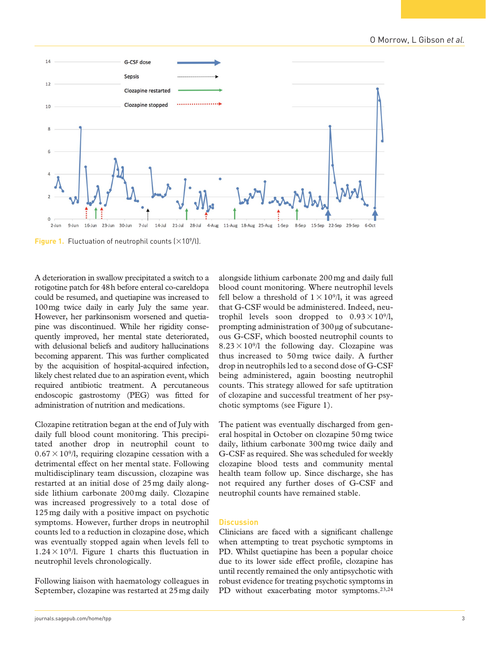

alongside lithium carbonate 200mg and daily full blood count monitoring. Where neutrophil levels fell below a threshold of  $1 \times 10^{9}/l$ , it was agreed that G-CSF would be administered. Indeed, neutrophil levels soon dropped to  $0.93 \times 10^9/$ , prompting administration of 300 µg of subcutaneous G-CSF, which boosted neutrophil counts to  $8.23 \times 10^{9}$  the following day. Clozapine was thus increased to 50mg twice daily. A further drop in neutrophils led to a second dose of G-CSF being administered, again boosting neutrophil counts. This strategy allowed for safe uptitration of clozapine and successful treatment of her psychotic symptoms (see Figure 1).

The patient was eventually discharged from general hospital in October on clozapine 50mg twice daily, lithium carbonate 300mg twice daily and G-CSF as required. She was scheduled for weekly clozapine blood tests and community mental health team follow up. Since discharge, she has not required any further doses of G-CSF and neutrophil counts have remained stable.

#### **Discussion**

Clinicians are faced with a significant challenge when attempting to treat psychotic symptoms in PD. Whilst quetiapine has been a popular choice due to its lower side effect profile, clozapine has until recently remained the only antipsychotic with robust evidence for treating psychotic symptoms in PD without exacerbating motor symptoms.<sup>23,24</sup>

A deterioration in swallow precipitated a switch to a rotigotine patch for 48h before enteral co-careldopa could be resumed, and quetiapine was increased to 100mg twice daily in early July the same year. However, her parkinsonism worsened and quetiapine was discontinued. While her rigidity consequently improved, her mental state deteriorated, with delusional beliefs and auditory hallucinations becoming apparent. This was further complicated by the acquisition of hospital-acquired infection, likely chest related due to an aspiration event, which required antibiotic treatment. A percutaneous endoscopic gastrostomy (PEG) was fitted for administration of nutrition and medications.

Clozapine retitration began at the end of July with daily full blood count monitoring. This precipitated another drop in neutrophil count to  $0.67 \times 10^{9}$ , requiring clozapine cessation with a detrimental effect on her mental state. Following multidisciplinary team discussion, clozapine was restarted at an initial dose of 25mg daily alongside lithium carbonate 200mg daily. Clozapine was increased progressively to a total dose of 125mg daily with a positive impact on psychotic symptoms. However, further drops in neutrophil counts led to a reduction in clozapine dose, which was eventually stopped again when levels fell to  $1.24 \times 10^{9}$ . Figure 1 charts this fluctuation in neutrophil levels chronologically.

Following liaison with haematology colleagues in September, clozapine was restarted at 25mg daily

**Figure 1.** Fluctuation of neutrophil counts  $(\times 10^9/l)$ .

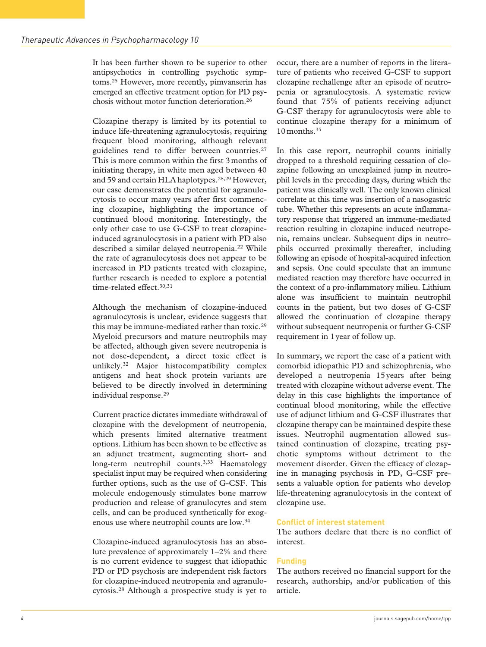It has been further shown to be superior to other antipsychotics in controlling psychotic symptoms.25 However, more recently, pimvanserin has emerged an effective treatment option for PD psychosis without motor function deterioration.26

Clozapine therapy is limited by its potential to induce life-threatening agranulocytosis, requiring frequent blood monitoring, although relevant guidelines tend to differ between countries.<sup>27</sup> This is more common within the first 3months of initiating therapy, in white men aged between 40 and 59 and certain HLA haplotypes.<sup>28,29</sup> However, our case demonstrates the potential for agranulocytosis to occur many years after first commencing clozapine, highlighting the importance of continued blood monitoring. Interestingly, the only other case to use G-CSF to treat clozapineinduced agranulocytosis in a patient with PD also described a similar delayed neutropenia.<sup>22</sup> While the rate of agranulocytosis does not appear to be increased in PD patients treated with clozapine, further research is needed to explore a potential time-related effect<sup>30,31</sup>

Although the mechanism of clozapine-induced agranulocytosis is unclear, evidence suggests that this may be immune-mediated rather than toxic.<sup>29</sup> Myeloid precursors and mature neutrophils may be affected, although given severe neutropenia is not dose-dependent, a direct toxic effect is unlikely.32 Major histocompatibility complex antigens and heat shock protein variants are believed to be directly involved in determining individual response.29

Current practice dictates immediate withdrawal of clozapine with the development of neutropenia, which presents limited alternative treatment options. Lithium has been shown to be effective as an adjunct treatment, augmenting short- and long-term neutrophil counts.<sup>3,33</sup> Haematology specialist input may be required when considering further options, such as the use of G-CSF. This molecule endogenously stimulates bone marrow production and release of granulocytes and stem cells, and can be produced synthetically for exogenous use where neutrophil counts are low.34

Clozapine-induced agranulocytosis has an absolute prevalence of approximately 1–2% and there is no current evidence to suggest that idiopathic PD or PD psychosis are independent risk factors for clozapine-induced neutropenia and agranulocytosis.28 Although a prospective study is yet to occur, there are a number of reports in the literature of patients who received G-CSF to support clozapine rechallenge after an episode of neutropenia or agranulocytosis. A systematic review found that 75% of patients receiving adjunct G-CSF therapy for agranulocytosis were able to continue clozapine therapy for a minimum of 10 months.<sup>35</sup>

In this case report, neutrophil counts initially dropped to a threshold requiring cessation of clozapine following an unexplained jump in neutrophil levels in the preceding days, during which the patient was clinically well. The only known clinical correlate at this time was insertion of a nasogastric tube. Whether this represents an acute inflammatory response that triggered an immune-mediated reaction resulting in clozapine induced neutropenia, remains unclear. Subsequent dips in neutrophils occurred proximally thereafter, including following an episode of hospital-acquired infection and sepsis. One could speculate that an immune mediated reaction may therefore have occurred in the context of a pro-inflammatory milieu. Lithium alone was insufficient to maintain neutrophil counts in the patient, but two doses of G-CSF allowed the continuation of clozapine therapy without subsequent neutropenia or further G-CSF requirement in 1year of follow up.

In summary, we report the case of a patient with comorbid idiopathic PD and schizophrenia, who developed a neutropenia 15years after being treated with clozapine without adverse event. The delay in this case highlights the importance of continual blood monitoring, while the effective use of adjunct lithium and G-CSF illustrates that clozapine therapy can be maintained despite these issues. Neutrophil augmentation allowed sustained continuation of clozapine, treating psychotic symptoms without detriment to the movement disorder. Given the efficacy of clozapine in managing psychosis in PD, G-CSF presents a valuable option for patients who develop life-threatening agranulocytosis in the context of clozapine use.

## **Conflict of interest statement**

The authors declare that there is no conflict of interest.

## **Funding**

The authors received no financial support for the research, authorship, and/or publication of this article.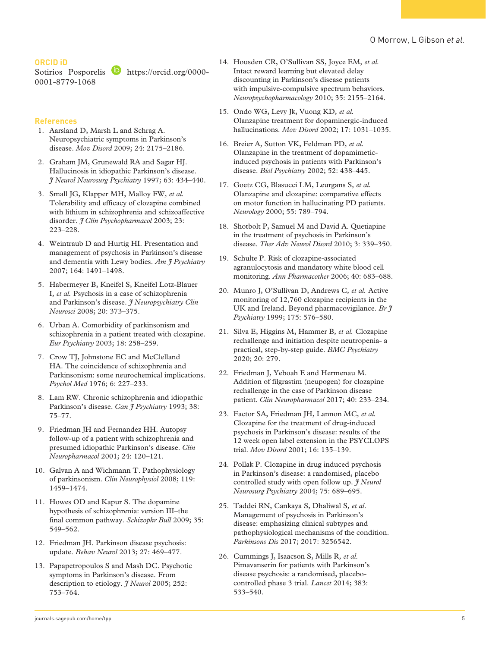# **ORCID iD**

Sotirios Posporelis [https://orcid.org/0000-](https://orcid.org/0000-0001-8779-1068) [0001-8779-1068](https://orcid.org/0000-0001-8779-1068)

# **References**

- 1. Aarsland D, Marsh L and Schrag A. Neuropsychiatric symptoms in Parkinson's disease. *Mov Disord* 2009; 24: 2175–2186.
- 2. Graham JM, Grunewald RA and Sagar HJ. Hallucinosis in idiopathic Parkinson's disease. *J Neurol Neurosurg Psychiatry* 1997; 63: 434–440.
- 3. Small JG, Klapper MH, Malloy FW*, et al.* Tolerability and efficacy of clozapine combined with lithium in schizophrenia and schizoaffective disorder. *J Clin Psychopharmacol* 2003; 23: 223–228.
- 4. Weintraub D and Hurtig HI. Presentation and management of psychosis in Parkinson's disease and dementia with Lewy bodies. *Am J Psychiatry* 2007; 164: 1491–1498.
- 5. Habermeyer B, Kneifel S, Kneifel Lotz-Blauer I*, et al.* Psychosis in a case of schizophrenia and Parkinson's disease. *J Neuropsychiatry Clin Neurosci* 2008; 20: 373–375.
- 6. Urban A. Comorbidity of parkinsonism and schizophrenia in a patient treated with clozapine. *Eur Psychiatry* 2003; 18: 258–259.
- 7. Crow TJ, Johnstone EC and McClelland HA. The coincidence of schizophrenia and Parkinsonism: some neurochemical implications. *Psychol Med* 1976; 6: 227–233.
- 8. Lam RW. Chronic schizophrenia and idiopathic Parkinson's disease. *Can J Psychiatry* 1993; 38: 75–77.
- 9. Friedman JH and Fernandez HH. Autopsy follow-up of a patient with schizophrenia and presumed idiopathic Parkinson's disease. *Clin Neuropharmacol* 2001; 24: 120–121.
- 10. Galvan A and Wichmann T. Pathophysiology of parkinsonism. *Clin Neurophysiol* 2008; 119: 1459–1474.
- 11. Howes OD and Kapur S. The dopamine hypothesis of schizophrenia: version III–the final common pathway. *Schizophr Bull* 2009; 35: 549–562.
- 12. Friedman JH. Parkinson disease psychosis: update. *Behav Neurol* 2013; 27: 469–477.
- 13. Papapetropoulos S and Mash DC. Psychotic symptoms in Parkinson's disease. From description to etiology. *J Neurol* 2005; 252: 753–764.
- 14. Housden CR, O'Sullivan SS, Joyce EM*, et al.* Intact reward learning but elevated delay discounting in Parkinson's disease patients with impulsive-compulsive spectrum behaviors. *Neuropsychopharmacology* 2010; 35: 2155–2164.
- 15. Ondo WG, Levy Jk, Vuong KD*, et al.* Olanzapine treatment for dopaminergic-induced hallucinations. *Mov Disord* 2002; 17: 1031–1035.
- 16. Breier A, Sutton VK, Feldman PD*, et al.* Olanzapine in the treatment of dopamimeticinduced psychosis in patients with Parkinson's disease. *Biol Psychiatry* 2002; 52: 438–445.
- 17. Goetz CG, Blasucci LM, Leurgans S*, et al.* Olanzapine and clozapine: comparative effects on motor function in hallucinating PD patients. *Neurology* 2000; 55: 789–794.
- 18. Shotbolt P, Samuel M and David A. Quetiapine in the treatment of psychosis in Parkinson's disease. *Ther Adv Neurol Disord* 2010; 3: 339–350.
- 19. Schulte P. Risk of clozapine-associated agranulocytosis and mandatory white blood cell monitoring. *Ann Pharmacother* 2006; 40: 683–688.
- 20. Munro J, O'Sullivan D, Andrews C*, et al.* Active monitoring of 12,760 clozapine recipients in the UK and Ireland. Beyond pharmacovigilance. *Br J Psychiatry* 1999; 175: 576–580.
- 21. Silva E, Higgins M, Hammer B*, et al.* Clozapine rechallenge and initiation despite neutropenia- a practical, step-by-step guide. *BMC Psychiatry* 2020; 20: 279.
- 22. Friedman J, Yeboah E and Hermenau M. Addition of filgrastim (neupogen) for clozapine rechallenge in the case of Parkinson disease patient. *Clin Neuropharmacol* 2017; 40: 233–234.
- 23. Factor SA, Friedman JH, Lannon MC*, et al.* Clozapine for the treatment of drug-induced psychosis in Parkinson's disease: results of the 12 week open label extension in the PSYCLOPS trial. *Mov Disord* 2001; 16: 135–139.
- 24. Pollak P. Clozapine in drug induced psychosis in Parkinson's disease: a randomised, placebo controlled study with open follow up. *J Neurol Neurosurg Psychiatry* 2004; 75: 689–695.
- 25. Taddei RN, Cankaya S, Dhaliwal S*, et al.* Management of psychosis in Parkinson's disease: emphasizing clinical subtypes and pathophysiological mechanisms of the condition. *Parkinsons Dis* 2017; 2017: 3256542.
- 26. Cummings J, Isaacson S, Mills R*, et al.* Pimavanserin for patients with Parkinson's disease psychosis: a randomised, placebocontrolled phase 3 trial. *Lancet* 2014; 383: 533–540.